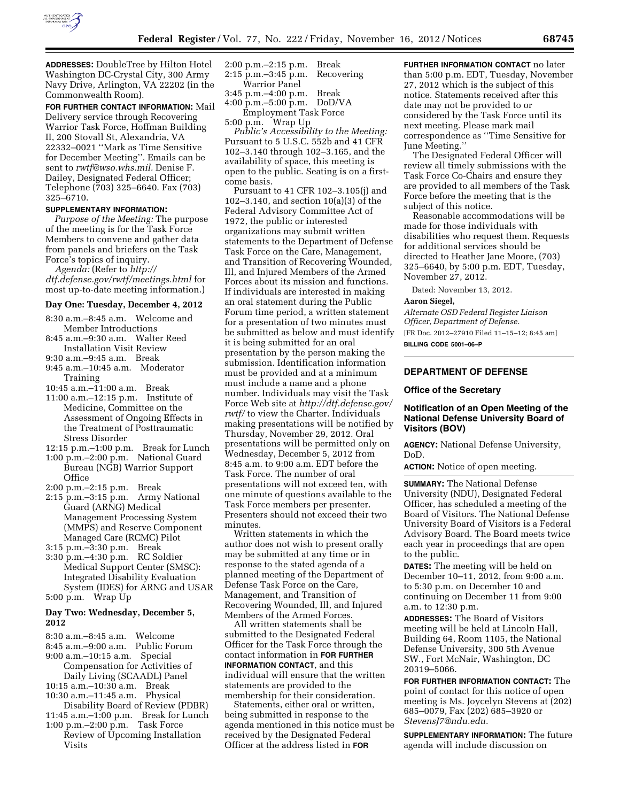

**ADDRESSES:** DoubleTree by Hilton Hotel Washington DC-Crystal City, 300 Army Navy Drive, Arlington, VA 22202 (in the Commonwealth Room).

**FOR FURTHER CONTACT INFORMATION:** Mail Delivery service through Recovering Warrior Task Force, Hoffman Building II, 200 Stovall St, Alexandria, VA 22332–0021 ''Mark as Time Sensitive for December Meeting''. Emails can be sent to *[rwtf@wso.whs.mil.](mailto:rwtf@wso.whs.mil)* Denise F. Dailey, Designated Federal Officer; Telephone (703) 325–6640. Fax (703) 325–6710.

# **SUPPLEMENTARY INFORMATION:**

*Purpose of the Meeting:* The purpose of the meeting is for the Task Force Members to convene and gather data from panels and briefers on the Task Force's topics of inquiry.

*Agenda:* (Refer to *[http://](http://dtf.defense.gov/rwtf/meetings.html)  [dtf.defense.gov/rwtf/meetings.html](http://dtf.defense.gov/rwtf/meetings.html)* for most up-to-date meeting information.)

### **Day One: Tuesday, December 4, 2012**

- 8:30 a.m.–8:45 a.m. Welcome and Member Introductions
- 8:45 a.m.–9:30 a.m. Walter Reed Installation Visit Review
- 9:30 a.m.–9:45 a.m. Break
- 9:45 a.m.–10:45 a.m. Moderator Training
- 10:45 a.m.–11:00 a.m. Break
- 11:00 a.m.–12:15 p.m. Institute of Medicine, Committee on the Assessment of Ongoing Effects in the Treatment of Posttraumatic Stress Disorder
- 12:15 p.m.–1:00 p.m. Break for Lunch 1:00 p.m.–2:00 p.m. National Guard Bureau (NGB) Warrior Support **Office**
- 2:00 p.m.–2:15 p.m. Break
- 2:15 p.m.–3:15 p.m. Army National Guard (ARNG) Medical Management Processing System (MMPS) and Reserve Component Managed Care (RCMC) Pilot

3:15 p.m.–3:30 p.m. Break

3:30 p.m.–4:30 p.m. RC Soldier Medical Support Center (SMSC): Integrated Disability Evaluation System (IDES) for ARNG and USAR 5:00 p.m. Wrap Up

## **Day Two: Wednesday, December 5, 2012**

8:30 a.m.–8:45 a.m. Welcome

- 8:45 a.m.–9:00 a.m. Public Forum
- 9:00 a.m.–10:15 a.m. Special Compensation for Activities of Daily Living (SCAADL) Panel
- 10:15 a.m.–10:30 a.m. Break
- 10:30 a.m.–11:45 a.m. Physical Disability Board of Review (PDBR)
- 11:45 a.m.–1:00 p.m. Break for Lunch 1:00 p.m.–2:00 p.m. Task Force
- Review of Upcoming Installation Visits
- 2:00 p.m.–2:15 p.m. Break 2:15 p.m.–3:45 p.m. Recovering Warrior Panel
- 3:45 p.m.–4:00 p.m. Break 4:00 p.m.–5:00 p.m. DoD/VA Employment Task Force
- 5:00 p.m. Wrap Up

*Public's Accessibility to the Meeting:*  Pursuant to 5 U.S.C. 552b and 41 CFR 102–3.140 through 102–3.165, and the availability of space, this meeting is open to the public. Seating is on a firstcome basis.

Pursuant to 41 CFR 102–3.105(j) and 102–3.140, and section 10(a)(3) of the Federal Advisory Committee Act of 1972, the public or interested organizations may submit written statements to the Department of Defense Task Force on the Care, Management, and Transition of Recovering Wounded, Ill, and Injured Members of the Armed Forces about its mission and functions. If individuals are interested in making an oral statement during the Public Forum time period, a written statement for a presentation of two minutes must be submitted as below and must identify it is being submitted for an oral presentation by the person making the submission. Identification information must be provided and at a minimum must include a name and a phone number. Individuals may visit the Task Force Web site at *[http://dtf.defense.gov/](http://dtf.defense.gov/rwtf/)  [rwtf/](http://dtf.defense.gov/rwtf/)* to view the Charter. Individuals making presentations will be notified by Thursday, November 29, 2012. Oral presentations will be permitted only on Wednesday, December 5, 2012 from 8:45 a.m. to 9:00 a.m. EDT before the Task Force. The number of oral presentations will not exceed ten, with one minute of questions available to the Task Force members per presenter. Presenters should not exceed their two minutes.

Written statements in which the author does not wish to present orally may be submitted at any time or in response to the stated agenda of a planned meeting of the Department of Defense Task Force on the Care, Management, and Transition of Recovering Wounded, Ill, and Injured Members of the Armed Forces.

All written statements shall be submitted to the Designated Federal Officer for the Task Force through the contact information in **FOR FURTHER INFORMATION CONTACT**, and this individual will ensure that the written statements are provided to the membership for their consideration.

Statements, either oral or written, being submitted in response to the agenda mentioned in this notice must be received by the Designated Federal Officer at the address listed in **FOR**

**FURTHER INFORMATION CONTACT** no later than 5:00 p.m. EDT, Tuesday, November 27, 2012 which is the subject of this notice. Statements received after this date may not be provided to or considered by the Task Force until its next meeting. Please mark mail correspondence as ''Time Sensitive for June Meeting.''

The Designated Federal Officer will review all timely submissions with the Task Force Co-Chairs and ensure they are provided to all members of the Task Force before the meeting that is the subject of this notice.

Reasonable accommodations will be made for those individuals with disabilities who request them. Requests for additional services should be directed to Heather Jane Moore, (703) 325–6640, by 5:00 p.m. EDT, Tuesday, November 27, 2012.

Dated: November 13, 2012.

# **Aaron Siegel,**

*Alternate OSD Federal Register Liaison Officer, Department of Defense.*  [FR Doc. 2012–27910 Filed 11–15–12; 8:45 am] **BILLING CODE 5001–06–P** 

# **DEPARTMENT OF DEFENSE**

#### **Office of the Secretary**

## **Notification of an Open Meeting of the National Defense University Board of Visitors (BOV)**

**AGENCY:** National Defense University, DoD.

**ACTION:** Notice of open meeting.

**SUMMARY:** The National Defense University (NDU), Designated Federal Officer, has scheduled a meeting of the Board of Visitors. The National Defense University Board of Visitors is a Federal Advisory Board. The Board meets twice each year in proceedings that are open to the public.

**DATES:** The meeting will be held on December 10–11, 2012, from 9:00 a.m. to 5:30 p.m. on December 10 and continuing on December 11 from 9:00 a.m. to 12:30 p.m.

**ADDRESSES:** The Board of Visitors meeting will be held at Lincoln Hall, Building 64, Room 1105, the National Defense University, 300 5th Avenue SW., Fort McNair, Washington, DC 20319–5066.

**FOR FURTHER INFORMATION CONTACT:** The point of contact for this notice of open meeting is Ms. Joycelyn Stevens at (202) 685–0079, Fax (202) 685–3920 or *[StevensJ7@ndu.edu.](mailto:StevensJ7@ndu.edu)* 

**SUPPLEMENTARY INFORMATION:** The future agenda will include discussion on